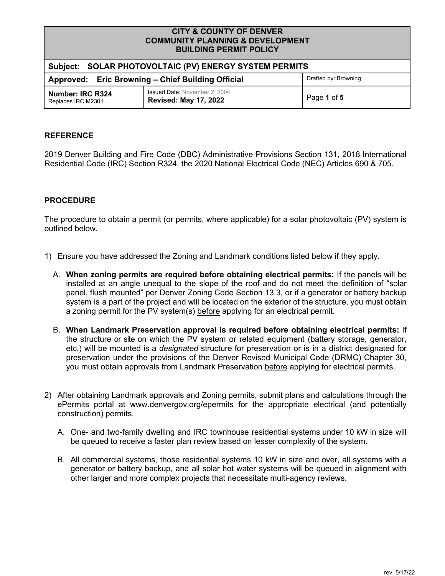| <b>CITY &amp; COUNTY OF DENVER</b>          |
|---------------------------------------------|
| <b>COMMUNITY PLANNING &amp; DEVELOPMENT</b> |
| <b>BUILDING PERMIT POLICY</b>               |

| Subject: SOLAR PHOTOVOLTAIC (PV) ENERGY SYSTEM PERMITS                    |                                                                      |             |  |
|---------------------------------------------------------------------------|----------------------------------------------------------------------|-------------|--|
| Drafted by: Browning<br>Approved: Eric Browning - Chief Building Official |                                                                      |             |  |
| Number: IRC R324<br>Replaces IRC M2301                                    | <b>Issued Date: November 2, 2004</b><br><b>Revised: May 17, 2022</b> | Page 1 of 5 |  |

# **REFERENCE**

 2019 Denver Building and Fire Code (DBC) Administrative Provisions Section 131, 2018 International Residential Code (IRC) Section R324, the 2020 National Electrical Code (NEC) Articles 690 & 705.

# **PROCEDURE**

 The procedure to obtain a permit (or permits, where applicable) for a solar photovoltaic (PV) system is outlined below.

- 1) Ensure you have addressed the Zoning and Landmark conditions listed below if they apply.
	- A. **When zoning permits are required before obtaining electrical permits:** If the panels will be installed at an angle unequal to the slope of the roof and do not meet the definition of "solar panel, flush mounted" per Denver Zoning Code Section 13.3, or if a generator or battery backup system is a part of the project and will be located on the exterior of the structure, you must obtain a zoning permit for the PV system(s) <u>before</u> applying for an electrical permit.
	- B. **When Landmark Preservation approval is required before obtaining electrical permits:** If the structure or site on which the PV system or related equipment (battery storage, generator, etc.) will be mounted is a *designated* structure for preservation or is in a district designated for preservation under the provisions of the Denver Revised Municipal Code (DRMC) Chapter 30, you must obtain approvals from Landmark Preservation <u>before</u> applying for electrical permits.
- 2) After obtaining Landmark approvals and Zoning permits, submit plans and calculations through the ePermits portal at <www.denvergov.org/epermits> for the appropriate electrical (and potentially construction) permits.
	- A. One- and two-family dwelling and IRC townhouse residential systems under 10 kW in size will be queued to receive a faster plan review based on lesser complexity of the system.
	- B. All commercial systems, those residential systems 10 kW in size and over, all systems with a generator or battery backup, and all solar hot water systems will be queued in alignment with other larger and more complex projects that necessitate multi-agency reviews.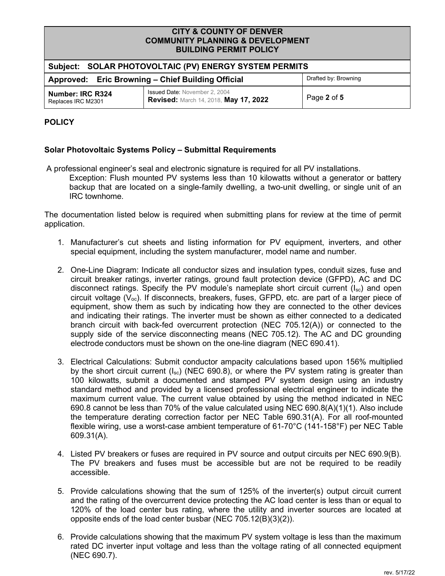| <b>DUILDING FEINTH FULIOT</b>                                             |                                                                               |             |  |
|---------------------------------------------------------------------------|-------------------------------------------------------------------------------|-------------|--|
| Subject: SOLAR PHOTOVOLTAIC (PV) ENERGY SYSTEM PERMITS                    |                                                                               |             |  |
| Drafted by: Browning<br>Approved: Eric Browning - Chief Building Official |                                                                               |             |  |
| <b>Number: IRC R324</b><br>Replaces IRC M2301                             | <b>Issued Date: November 2, 2004</b><br>Revised: March 14, 2018, May 17, 2022 | Page 2 of 5 |  |

# **POLICY**

# **Solar Photovoltaic Systems Policy – Submittal Requirements**

A professional engineer's seal and electronic signature is required for all PV installations.

 Exception: Flush mounted PV systems less than 10 kilowatts without a generator or battery backup that are located on a single-family dwelling, a two-unit dwelling, or single unit of an IRC townhome.

 The documentation listed below is required when submitting plans for review at the time of permit application.

- 1. Manufacturer's cut sheets and listing information for PV equipment, inverters, and other special equipment, including the system manufacturer, model name and number.
- 2. One-Line Diagram: Indicate all conductor sizes and insulation types, conduit sizes, fuse and circuit breaker ratings, inverter ratings, ground fault protection device (GFPD), AC and DC disconnect ratings. Specify the PV module's nameplate short circuit current (I<sub>sc</sub>) and open circuit voltage (V $_{\rm oc}$ ). If disconnects, breakers, fuses, GFPD, etc. are part of a larger piece of equipment, show them as such by indicating how they are connected to the other devices and indicating their ratings. The inverter must be shown as either connected to a dedicated branch circuit with back-fed overcurrent protection (NEC 705.12(A)) or connected to the supply side of the service disconnecting means (NEC 705.12). The AC and DC grounding [electrode conductors must be shown on the one-line diagram \(NEC 690.41\)](https://electrodeconductorsmustbeshownontheone-linediagram(NEC690.41).
- 3. Electrical Calculations: Submit conductor ampacity calculations based upon 156% multiplied by the short circuit current (I<sub>sc</sub>) (NEC 690.8), or where the PV system rating is greater than 100 kilowatts, submit a documented and stamped PV system design using an industry standard method and provided by a licensed professional electrical engineer to indicate the maximum current value. The current value obtained by using the method indicated in NEC 690.8 cannot be less than 70% of the value calculated using NEC 690.8(A)(1)(1). Also include the temperature derating correction factor per NEC Table 690.31(A). For all roof-mounted flexible wiring, use a worst-case ambient temperature of 61-70°C (141-158°F) per NEC Table 609.31(A).
- 4. Listed PV breakers or fuses are required in PV source and output circuits per NEC 690.9(B). The PV breakers and fuses must be accessible but are not be required to be readily accessible.
- 5. Provide calculations showing that the sum of 125% of the inverter(s) output circuit current and the rating of the overcurrent device protecting the AC load center is less than or equal to 120% of the load center bus rating, where the utility and inverter sources are located at opposite ends of the load center busbar (NEC 705.12(B)(3)(2)).
- 6. Provide calculations showing that the maximum PV system voltage is less than the maximum rated DC inverter input voltage and less than the voltage rating of all connected equipment (NEC 690.7).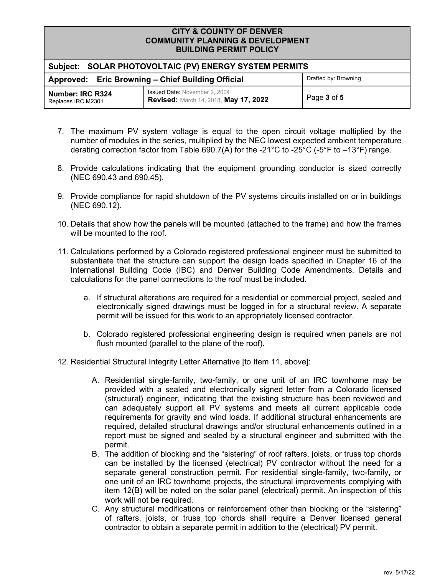| -------------------------                                                 |                                                                               |             |  |
|---------------------------------------------------------------------------|-------------------------------------------------------------------------------|-------------|--|
| Subject: SOLAR PHOTOVOLTAIC (PV) ENERGY SYSTEM PERMITS                    |                                                                               |             |  |
| Drafted by: Browning<br>Approved: Eric Browning - Chief Building Official |                                                                               |             |  |
| Number: IRC R324<br>Replaces IRC M2301                                    | <b>Issued Date: November 2, 2004</b><br>Revised: March 14, 2018, May 17, 2022 | Page 3 of 5 |  |

- 7. The maximum PV system voltage is equal to the open circuit voltage multiplied by the number of modules in the series, multiplied by the NEC lowest expected ambient temperature derating correction factor from Table 690.7(A) for the -21°C to -25°C (-5°F to –13°F) range.
- 8. Provide calculations indicating that the equipment grounding conductor is sized correctly ([NEC 690.43 and 690.45\)](https://NEC690.43and690.45).
- 9. Provide compliance for rapid shutdown of the PV systems circuits installed on or in buildings ([NEC 690.12\)](https://NEC690.12).
- 10. Details that show how the panels will be mounted (attached to the frame) and how the frames will be mounted to the roof.
- 11. Calculations performed by a Colorado registered professional engineer must be submitted to substantiate that the structure can support the design loads specified in Chapter 16 of the International Building Code (IBC) and Denver Building Code Amendments. Details and calculations for the panel connections to the roof must be included.
	- a. If structural alterations are required for a residential or commercial project, sealed and electronically signed drawings must be logged in for a structural review. A separate permit will be issued for this work to an appropriately licensed contractor.
	- b. Colorado registered professional engineering design is required when panels are not flush mounted (parallel to the plane of the roof).
- 12. Residential Structural Integrity Letter Alternative [to Item 11, above]:
	- A. Residential single-family, two-family, or one unit of an IRC townhome may be provided with a sealed and electronically signed letter from a Colorado licensed (structural) engineer, indicating that the existing structure has been reviewed and can adequately support all PV systems and meets all current applicable code requirements for gravity and wind loads. If additional structural enhancements are required, detailed structural drawings and/or structural enhancements outlined in a report must be signed and sealed by a structural engineer and submitted with the permit.
	- B. The addition of blocking and the "sistering" of roof rafters, joists, or truss top chords can be installed by the licensed (electrical) PV contractor without the need for a separate general construction permit. For residential single-family, two-family, or one unit of an IRC townhome projects, the structural improvements complying with item 12(B) will be noted on the solar panel (electrical) permit. An inspection of this work will not be required.
	- C. Any structural modifications or reinforcement other than blocking or the "sistering" of rafters, joists, or truss top chords shall require a Denver licensed general contractor to obtain a separate permit in addition to the (electrical) PV permit.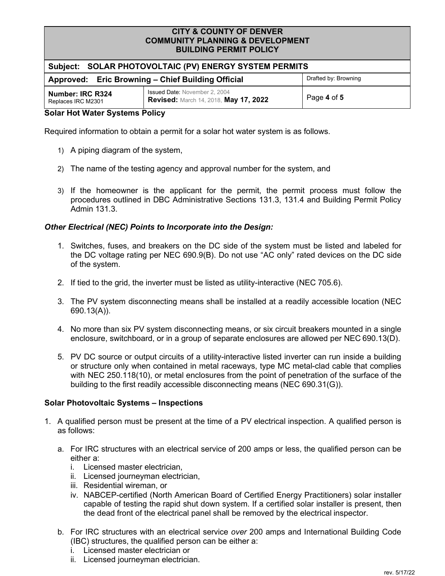| -----------------------                                |                                                                               |                      |  |  |
|--------------------------------------------------------|-------------------------------------------------------------------------------|----------------------|--|--|
| Subject: SOLAR PHOTOVOLTAIC (PV) ENERGY SYSTEM PERMITS |                                                                               |                      |  |  |
| Approved: Eric Browning - Chief Building Official      |                                                                               | Drafted by: Browning |  |  |
| Number: IRC R324<br>Replaces IRC M2301                 | <b>Issued Date: November 2, 2004</b><br>Revised: March 14, 2018, May 17, 2022 | Page 4 of 5          |  |  |
| <b>Color Llot Water Customer Deliau</b>                |                                                                               |                      |  |  |

#### **Solar Hot Water Systems Policy**

Required information to obtain a permit for a solar hot water system is as follows.

- 1) A piping diagram of the system,
- 2) The name of the testing agency and approval number for the system, and
- 3) If the homeowner is the applicant for the permit, the permit process must follow the procedures outlined in DBC Administrative Sections 131.3, 131.4 and Building Permit Policy Admin 131.3.

# *Other Electrical (NEC) Points to Incorporate into the Design:*

- 1. Switches, fuses, and breakers on the DC side of the system must be listed and labeled for the DC voltage rating per NEC 690.9(B). Do not use "AC only" rated devices on the DC side of the system.
- 2. If tied to the grid, the inverter must be listed as utility-interactive (NEC 705.6).
- 3. The PV system disconnecting means shall be installed at a readily accessible location (NEC 690.13(A)).
- 4. No more than six PV system disconnecting means, or six circuit breakers mounted in a single enclosure, switchboard, or in a group of separate enclosures are allowed per NEC 690.13(D).
- 5. PV DC source or output circuits of a utility-interactive listed inverter can run inside a building or structure only when contained in metal raceways, type MC metal-clad cable that complies with NEC 250.118(10), or metal enclosures from the point of penetration of the surface of the building to the first readily accessible disconnecting means (NEC 690.31(G)).

# **Solar Photovoltaic Systems – Inspections**

- 1. A qualified person must be present at the time of a PV electrical inspection. A qualified person is as follows:
	- a. For IRC structures with an electrical service of 200 amps or less, the qualified person can be either a:
		- i. Licensed master electrician,
		- ii. Licensed journeyman electrician,
		- iii. Residential wireman, or
		- iv. NABCEP-certified (North American Board of Certified Energy Practitioners) solar installer capable of testing the rapid shut down system. If a certified solar installer is present, then the dead front of the electrical panel shall be removed by the electrical inspector.
	- b. For IRC structures with an electrical service *over* 200 amps and International Building Code (IBC) structures, the qualified person can be either a:
		- i. Licensed master electrician or
		- ii. Licensed journeyman electrician.